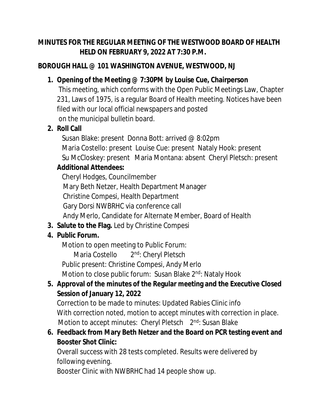#### **MINUTES FOR THE REGULAR MEETING OF THE WESTWOOD BOARD OF HEALTH HELD ON FEBRUARY 9, 2022 AT 7:30 P.M.**

### **BOROUGH HALL @ 101 WASHINGTON AVENUE, WESTWOOD, NJ**

# **1. Opening of the Meeting @ 7:30PM by Louise Cue, Chairperson**

This meeting, which conforms with the Open Public Meetings Law, Chapter 231, Laws of 1975, is a regular Board of Health meeting. Notices have been filed with our local official newspapers and posted on the municipal bulletin board.

# **2. Roll Call**

 Susan Blake: present Donna Bott: arrived @ 8:02pm Maria Costello: present Louise Cue: present Nataly Hook: present Su McCloskey: present Maria Montana: absent Cheryl Pletsch: present

# **Additional Attendees:**

Cheryl Hodges, Councilmember Mary Beth Netzer, Health Department Manager Christine Compesi, Health Department Gary Dorsi NWBRHC via conference call Andy Merlo, Candidate for Alternate Member, Board of Health

**3. Salute to the Flag.** Led by Christine Compesi

# **4. Public Forum.**

Motion to open meeting to Public Forum:

 Maria Costello 2 2<sup>nd</sup>: Cheryl Pletsch

Public present: Christine Compesi, Andy Merlo

Motion to close public forum: Susan Blake 2<sup>nd</sup>: Nataly Hook

# **5. Approval of the minutes of the Regular meeting and the Executive Closed Session of January 12, 2022**

Correction to be made to minutes: Updated Rabies Clinic info With correction noted, motion to accept minutes with correction in place. Motion to accept minutes: Cheryl Pletsch 2<sup>nd</sup>: Susan Blake

# **6. Feedback from Mary Beth Netzer and the Board on PCR testing event and Booster Shot Clinic:**

Overall success with 28 tests completed. Results were delivered by following evening.

Booster Clinic with NWBRHC had 14 people show up.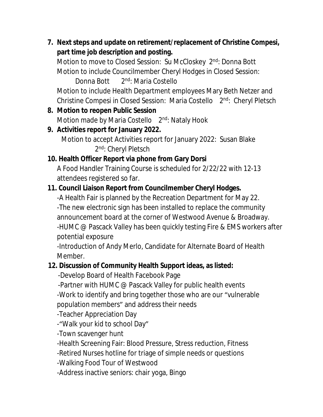**7. Next steps and update on retirement/replacement of Christine Compesi, part time job description and posting.** 

Motion to move to Closed Session: Su McCloskey 2<sup>nd</sup>: Donna Bott Motion to include Councilmember Cheryl Hodges in Closed Session:

Donna Bott 2<sup>nd</sup>: Maria Costello

Motion to include Health Department employees Mary Beth Netzer and Christine Compesi in Closed Session: Maria Costello 2<sup>nd</sup>: Cheryl Pletsch

**8. Motion to reopen Public Session**

Motion made by Maria Costello 2<sup>nd</sup>: Nataly Hook

#### **9. Activities report for January 2022.**

 Motion to accept Activities report for January 2022: Susan Blake 2<sup>nd</sup>: Cheryl Pletsch

### **10. Health Officer Report via phone from Gary Dorsi**

A Food Handler Training Course is scheduled for 2/22/22 with 12-13 attendees registered so far.

#### **11. Council Liaison Report from Councilmember Cheryl Hodges.**

-A Health Fair is planned by the Recreation Department for May 22. -The new electronic sign has been installed to replace the community announcement board at the corner of Westwood Avenue & Broadway. -HUMC @ Pascack Valley has been quickly testing Fire & EMS workers after potential exposure

-Introduction of Andy Merlo, Candidate for Alternate Board of Health Member.

### **12. Discussion of Community Health Support ideas, as listed:**

-Develop Board of Health Facebook Page

-Partner with HUMC @ Pascack Valley for public health events

-Work to identify and bring together those who are our "vulnerable population members" and address their needs

-Teacher Appreciation Day

-"Walk your kid to school Day"

-Town scavenger hunt

-Health Screening Fair: Blood Pressure, Stress reduction, Fitness

-Retired Nurses hotline for triage of simple needs or questions

-Walking Food Tour of Westwood

-Address inactive seniors: chair yoga, Bingo